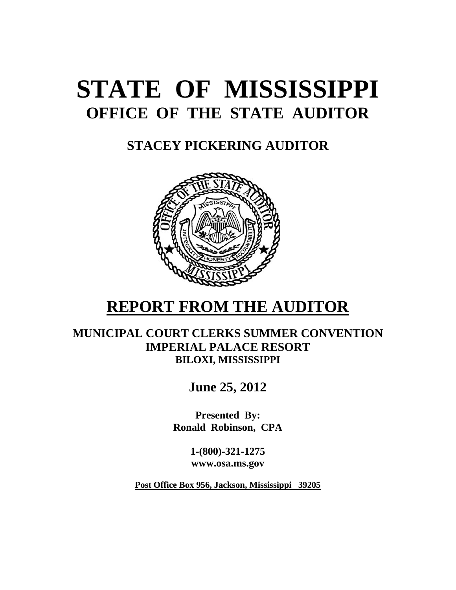# **STATE OF MISSISSIPPI OFFICE OF THE STATE AUDITOR**

**STACEY PICKERING AUDITOR**



# **REPORT FROM THE AUDITOR**

**MUNICIPAL COURT CLERKS SUMMER CONVENTION IMPERIAL PALACE RESORT BILOXI, MISSISSIPPI** 

**June 25, 2012** 

**Presented By: Ronald Robinson, CPA** 

> **1-(800)-321-1275 www.osa.ms.gov**

**Post Office Box 956, Jackson, Mississippi 39205**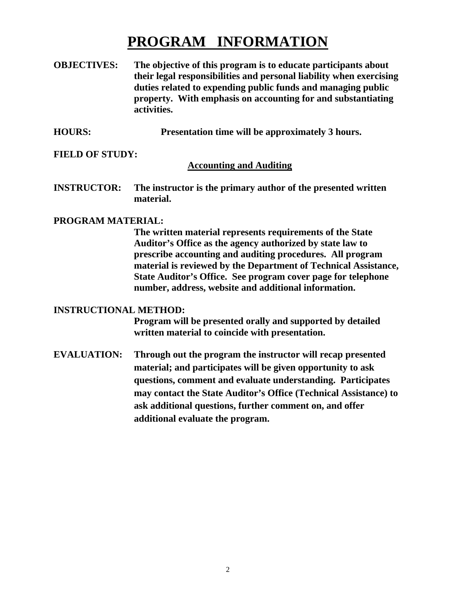# **PROGRAM INFORMATION**

- **OBJECTIVES: The objective of this program is to educate participants about their legal responsibilities and personal liability when exercising duties related to expending public funds and managing public property. With emphasis on accounting for and substantiating activities.**
- **HOURS: Presentation time will be approximately 3 hours.**

#### **FIELD OF STUDY:**

#### **Accounting and Auditing**

**INSTRUCTOR: The instructor is the primary author of the presented written material.** 

#### **PROGRAM MATERIAL:**

 **The written material represents requirements of the State Auditor's Office as the agency authorized by state law to prescribe accounting and auditing procedures. All program material is reviewed by the Department of Technical Assistance, State Auditor's Office. See program cover page for telephone number, address, website and additional information.** 

#### **INSTRUCTIONAL METHOD:**

 **Program will be presented orally and supported by detailed written material to coincide with presentation.** 

**EVALUATION: Through out the program the instructor will recap presented material; and participates will be given opportunity to ask questions, comment and evaluate understanding. Participates may contact the State Auditor's Office (Technical Assistance) to ask additional questions, further comment on, and offer additional evaluate the program.**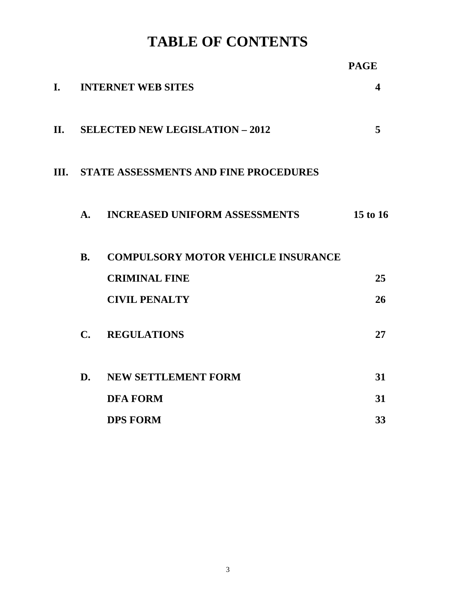**TABLE OF CONTENTS** 

|      |                |                                              | <b>PAGE</b> |
|------|----------------|----------------------------------------------|-------------|
| I.   |                | <b>INTERNET WEB SITES</b>                    | 4           |
| П.   |                | <b>SELECTED NEW LEGISLATION - 2012</b>       | 5           |
| III. |                | <b>STATE ASSESSMENTS AND FINE PROCEDURES</b> |             |
|      | $\mathbf{A}$ . | <b>INCREASED UNIFORM ASSESSMENTS</b>         | 15 to 16    |
|      | <b>B.</b>      | <b>COMPULSORY MOTOR VEHICLE INSURANCE</b>    |             |
|      |                | <b>CRIMINAL FINE</b>                         | 25          |
|      |                | <b>CIVIL PENALTY</b>                         | 26          |
|      | $\mathbf{C}$ . | <b>REGULATIONS</b>                           | 27          |
|      | D.             | NEW SETTLEMENT FORM                          | 31          |
|      |                | <b>DFA FORM</b>                              | 31          |
|      |                | <b>DPS FORM</b>                              | 33          |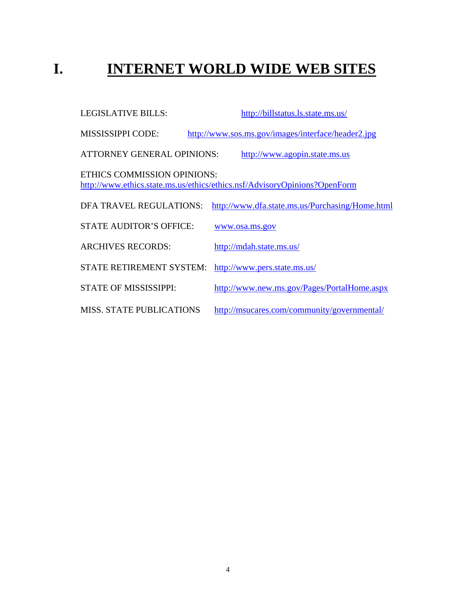# **I. INTERNET WORLD WIDE WEB SITES**

| <b>LEGISLATIVE BILLS:</b>         | http://billstatus.ls.state.ms.us/                                         |
|-----------------------------------|---------------------------------------------------------------------------|
| <b>MISSISSIPPI CODE:</b>          | http://www.sos.ms.gov/images/interface/header2.jpg                        |
| <b>ATTORNEY GENERAL OPINIONS:</b> | http://www.agopin.state.ms.us                                             |
| ETHICS COMMISSION OPINIONS:       | http://www.ethics.state.ms.us/ethics/ethics.nsf/AdvisoryOpinions?OpenForm |
| DFA TRAVEL REGULATIONS:           | http://www.dfa.state.ms.us/Purchasing/Home.html                           |
| <b>STATE AUDITOR'S OFFICE:</b>    | www.osa.ms.gov                                                            |
| <b>ARCHIVES RECORDS:</b>          | http://mdah.state.ms.us/                                                  |
| <b>STATE RETIREMENT SYSTEM:</b>   | http://www.pers.state.ms.us/                                              |
| STATE OF MISSISSIPPI:             | http://www.new.ms.gov/Pages/PortalHome.aspx                               |
| <b>MISS. STATE PUBLICATIONS</b>   | http://msucares.com/community/governmental/                               |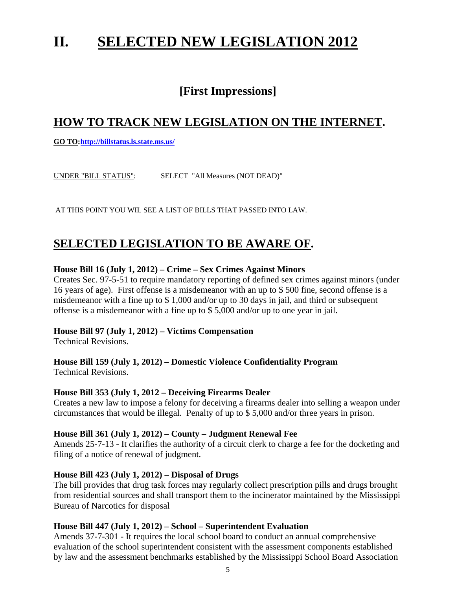# **II. SELECTED NEW LEGISLATION 2012**

# **[First Impressions]**

# **HOW TO TRACK NEW LEGISLATION ON THE INTERNET.**

**GO TO: http://billstatus.ls.state.ms.us/**

UNDER "BILL STATUS": SELECT "All Measures (NOT DEAD)"

AT THIS POINT YOU WIL SEE A LIST OF BILLS THAT PASSED INTO LAW.

# **SELECTED LEGISLATION TO BE AWARE OF.**

#### **House Bill 16 (July 1, 2012) – Crime – Sex Crimes Against Minors**

Creates Sec. 97-5-51 to require mandatory reporting of defined sex crimes against minors (under 16 years of age). First offense is a misdemeanor with an up to \$ 500 fine, second offense is a misdemeanor with a fine up to \$ 1,000 and/or up to 30 days in jail, and third or subsequent offense is a misdemeanor with a fine up to \$ 5,000 and/or up to one year in jail.

#### **House Bill 97 (July 1, 2012) – Victims Compensation**

Technical Revisions.

#### **House Bill 159 (July 1, 2012) – Domestic Violence Confidentiality Program**  Technical Revisions.

#### **House Bill 353 (July 1, 2012 – Deceiving Firearms Dealer**

Creates a new law to impose a felony for deceiving a firearms dealer into selling a weapon under circumstances that would be illegal. Penalty of up to \$ 5,000 and/or three years in prison.

#### **House Bill 361 (July 1, 2012) – County – Judgment Renewal Fee**

Amends 25-7-13 - It clarifies the authority of a circuit clerk to charge a fee for the docketing and filing of a notice of renewal of judgment.

#### **House Bill 423 (July 1, 2012) – Disposal of Drugs**

The bill provides that drug task forces may regularly collect prescription pills and drugs brought from residential sources and shall transport them to the incinerator maintained by the Mississippi Bureau of Narcotics for disposal

#### **House Bill 447 (July 1, 2012) – School – Superintendent Evaluation**

Amends 37-7-301 - It requires the local school board to conduct an annual comprehensive evaluation of the school superintendent consistent with the assessment components established by law and the assessment benchmarks established by the Mississippi School Board Association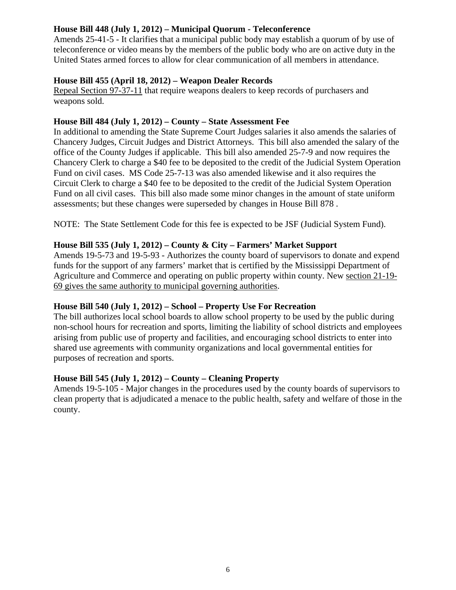#### **House Bill 448 (July 1, 2012) – Municipal Quorum - Teleconference**

Amends 25-41-5 - It clarifies that a municipal public body may establish a quorum of by use of teleconference or video means by the members of the public body who are on active duty in the United States armed forces to allow for clear communication of all members in attendance.

#### **House Bill 455 (April 18, 2012) – Weapon Dealer Records**

Repeal Section 97-37-11 that require weapons dealers to keep records of purchasers and weapons sold.

#### **House Bill 484 (July 1, 2012) – County – State Assessment Fee**

In additional to amending the State Supreme Court Judges salaries it also amends the salaries of Chancery Judges, Circuit Judges and District Attorneys. This bill also amended the salary of the office of the County Judges if applicable. This bill also amended 25-7-9 and now requires the Chancery Clerk to charge a \$40 fee to be deposited to the credit of the Judicial System Operation Fund on civil cases. MS Code 25-7-13 was also amended likewise and it also requires the Circuit Clerk to charge a \$40 fee to be deposited to the credit of the Judicial System Operation Fund on all civil cases. This bill also made some minor changes in the amount of state uniform assessments; but these changes were superseded by changes in House Bill 878 .

NOTE: The State Settlement Code for this fee is expected to be JSF (Judicial System Fund).

#### **House Bill 535 (July 1, 2012) – County & City – Farmers' Market Support**

Amends 19-5-73 and 19-5-93 - Authorizes the county board of supervisors to donate and expend funds for the support of any farmers' market that is certified by the Mississippi Department of Agriculture and Commerce and operating on public property within county. New section 21-19- 69 gives the same authority to municipal governing authorities.

#### **House Bill 540 (July 1, 2012) – School – Property Use For Recreation**

The bill authorizes local school boards to allow school property to be used by the public during non-school hours for recreation and sports, limiting the liability of school districts and employees arising from public use of property and facilities, and encouraging school districts to enter into shared use agreements with community organizations and local governmental entities for purposes of recreation and sports.

#### **House Bill 545 (July 1, 2012) – County – Cleaning Property**

Amends 19-5-105 - Major changes in the procedures used by the county boards of supervisors to clean property that is adjudicated a menace to the public health, safety and welfare of those in the county.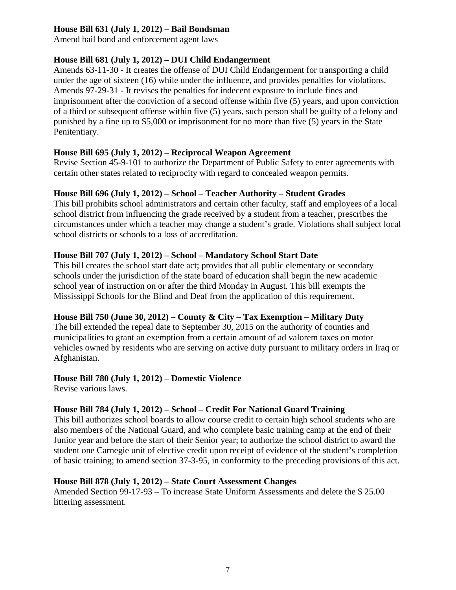#### **House Bill 631 (July 1, 2012) – Bail Bondsman**

Amend bail bond and enforcement agent laws

#### **House Bill 681 (July 1, 2012) – DUI Child Endangerment**

Amends 63-11-30 - It creates the offense of DUI Child Endangerment for transporting a child under the age of sixteen (16) while under the influence, and provides penalties for violations. Amends 97-29-31 - It revises the penalties for indecent exposure to include fines and imprisonment after the conviction of a second offense within five (5) years, and upon conviction of a third or subsequent offense within five (5) years, such person shall be guilty of a felony and punished by a fine up to \$5,000 or imprisonment for no more than five (5) years in the State Penitentiary.

#### **House Bill 695 (July 1, 2012) – Reciprocal Weapon Agreement**

Revise Section 45-9-101 to authorize the Department of Public Safety to enter agreements with certain other states related to reciprocity with regard to concealed weapon permits.

#### **House Bill 696 (July 1, 2012) – School – Teacher Authority – Student Grades**

This bill prohibits school administrators and certain other faculty, staff and employees of a local school district from influencing the grade received by a student from a teacher, prescribes the circumstances under which a teacher may change a student's grade. Violations shall subject local school districts or schools to a loss of accreditation.

#### **House Bill 707 (July 1, 2012) – School – Mandatory School Start Date**

This bill creates the school start date act; provides that all public elementary or secondary schools under the jurisdiction of the state board of education shall begin the new academic school year of instruction on or after the third Monday in August. This bill exempts the Mississippi Schools for the Blind and Deaf from the application of this requirement.

#### **House Bill 750 (June 30, 2012) – County & City – Tax Exemption – Military Duty**

The bill extended the repeal date to September 30, 2015 on the authority of counties and municipalities to grant an exemption from a certain amount of ad valorem taxes on motor vehicles owned by residents who are serving on active duty pursuant to military orders in Iraq or Afghanistan.

#### **House Bill 780 (July 1, 2012) – Domestic Violence**

Revise various laws.

#### **House Bill 784 (July 1, 2012) – School – Credit For National Guard Training**

This bill authorizes school boards to allow course credit to certain high school students who are also members of the National Guard, and who complete basic training camp at the end of their Junior year and before the start of their Senior year; to authorize the school district to award the student one Carnegie unit of elective credit upon receipt of evidence of the student's completion of basic training; to amend section 37-3-95, in conformity to the preceding provisions of this act.

#### **House Bill 878 (July 1, 2012) – State Court Assessment Changes**

Amended Section 99-17-93 – To increase State Uniform Assessments and delete the \$ 25.00 littering assessment.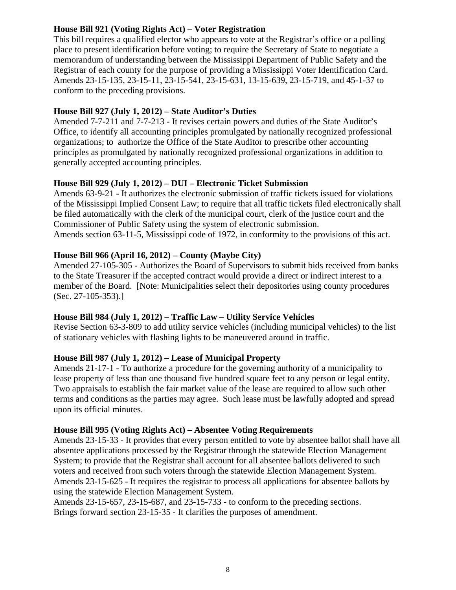#### **House Bill 921 (Voting Rights Act) – Voter Registration**

This bill requires a qualified elector who appears to vote at the Registrar's office or a polling place to present identification before voting; to require the Secretary of State to negotiate a memorandum of understanding between the Mississippi Department of Public Safety and the Registrar of each county for the purpose of providing a Mississippi Voter Identification Card. Amends 23-15-135, 23-15-11, 23-15-541, 23-15-631, 13-15-639, 23-15-719, and 45-1-37 to conform to the preceding provisions.

#### **House Bill 927 (July 1, 2012) – State Auditor's Duties**

Amended 7-7-211 and 7-7-213 - It revises certain powers and duties of the State Auditor's Office, to identify all accounting principles promulgated by nationally recognized professional organizations; to authorize the Office of the State Auditor to prescribe other accounting principles as promulgated by nationally recognized professional organizations in addition to generally accepted accounting principles.

#### **House Bill 929 (July 1, 2012) – DUI – Electronic Ticket Submission**

Amends 63-9-21 - It authorizes the electronic submission of traffic tickets issued for violations of the Mississippi Implied Consent Law; to require that all traffic tickets filed electronically shall be filed automatically with the clerk of the municipal court, clerk of the justice court and the Commissioner of Public Safety using the system of electronic submission. Amends section 63-11-5, Mississippi code of 1972, in conformity to the provisions of this act.

#### **House Bill 966 (April 16, 2012) – County (Maybe City)**

Amended 27-105-305 - Authorizes the Board of Supervisors to submit bids received from banks to the State Treasurer if the accepted contract would provide a direct or indirect interest to a member of the Board. [Note: Municipalities select their depositories using county procedures (Sec. 27-105-353).]

#### **House Bill 984 (July 1, 2012) – Traffic Law – Utility Service Vehicles**

Revise Section 63-3-809 to add utility service vehicles (including municipal vehicles) to the list of stationary vehicles with flashing lights to be maneuvered around in traffic.

#### **House Bill 987 (July 1, 2012) – Lease of Municipal Property**

Amends 21-17-1 - To authorize a procedure for the governing authority of a municipality to lease property of less than one thousand five hundred square feet to any person or legal entity. Two appraisals to establish the fair market value of the lease are required to allow such other terms and conditions as the parties may agree. Such lease must be lawfully adopted and spread upon its official minutes.

#### **House Bill 995 (Voting Rights Act) – Absentee Voting Requirements**

Amends 23-15-33 - It provides that every person entitled to vote by absentee ballot shall have all absentee applications processed by the Registrar through the statewide Election Management System; to provide that the Registrar shall account for all absentee ballots delivered to such voters and received from such voters through the statewide Election Management System. Amends 23-15-625 - It requires the registrar to process all applications for absentee ballots by using the statewide Election Management System.

Amends 23-15-657, 23-15-687, and 23-15-733 - to conform to the preceding sections. Brings forward section 23-15-35 - It clarifies the purposes of amendment.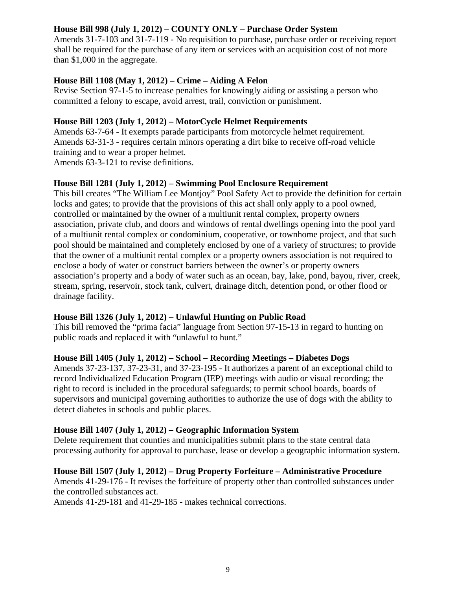#### **House Bill 998 (July 1, 2012) – COUNTY ONLY – Purchase Order System**

Amends 31-7-103 and 31-7-119 - No requisition to purchase, purchase order or receiving report shall be required for the purchase of any item or services with an acquisition cost of not more than \$1,000 in the aggregate.

#### **House Bill 1108 (May 1, 2012) – Crime – Aiding A Felon**

Revise Section 97-1-5 to increase penalties for knowingly aiding or assisting a person who committed a felony to escape, avoid arrest, trail, conviction or punishment.

#### **House Bill 1203 (July 1, 2012) – MotorCycle Helmet Requirements**

Amends 63-7-64 - It exempts parade participants from motorcycle helmet requirement. Amends 63-31-3 - requires certain minors operating a dirt bike to receive off-road vehicle training and to wear a proper helmet. Amends 63-3-121 to revise definitions.

# **House Bill 1281 (July 1, 2012) – Swimming Pool Enclosure Requirement**

This bill creates "The William Lee Montjoy" Pool Safety Act to provide the definition for certain locks and gates; to provide that the provisions of this act shall only apply to a pool owned, controlled or maintained by the owner of a multiunit rental complex, property owners association, private club, and doors and windows of rental dwellings opening into the pool yard of a multiunit rental complex or condominium, cooperative, or townhome project, and that such pool should be maintained and completely enclosed by one of a variety of structures; to provide that the owner of a multiunit rental complex or a property owners association is not required to enclose a body of water or construct barriers between the owner's or property owners association's property and a body of water such as an ocean, bay, lake, pond, bayou, river, creek, stream, spring, reservoir, stock tank, culvert, drainage ditch, detention pond, or other flood or drainage facility.

#### **House Bill 1326 (July 1, 2012) – Unlawful Hunting on Public Road**

This bill removed the "prima facia" language from Section 97-15-13 in regard to hunting on public roads and replaced it with "unlawful to hunt."

#### **House Bill 1405 (July 1, 2012) – School – Recording Meetings – Diabetes Dogs**

Amends 37-23-137, 37-23-31, and 37-23-195 - It authorizes a parent of an exceptional child to record Individualized Education Program (IEP) meetings with audio or visual recording; the right to record is included in the procedural safeguards; to permit school boards, boards of supervisors and municipal governing authorities to authorize the use of dogs with the ability to detect diabetes in schools and public places.

#### **House Bill 1407 (July 1, 2012) – Geographic Information System**

Delete requirement that counties and municipalities submit plans to the state central data processing authority for approval to purchase, lease or develop a geographic information system.

#### **House Bill 1507 (July 1, 2012) – Drug Property Forfeiture – Administrative Procedure**

Amends 41-29-176 - It revises the forfeiture of property other than controlled substances under the controlled substances act.

Amends 41-29-181 and 41-29-185 - makes technical corrections.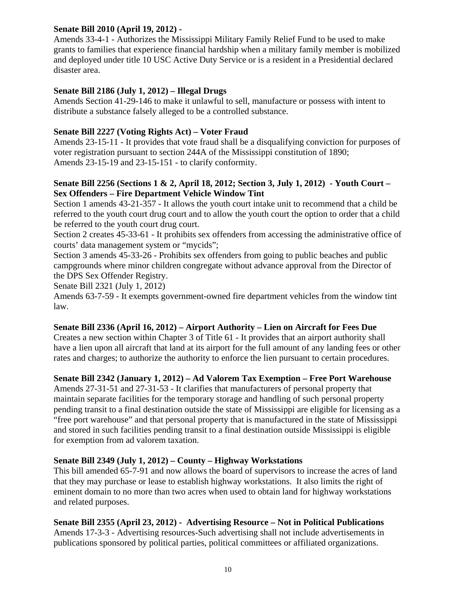#### **Senate Bill 2010 (April 19, 2012) -**

Amends 33-4-1 - Authorizes the Mississippi Military Family Relief Fund to be used to make grants to families that experience financial hardship when a military family member is mobilized and deployed under title 10 USC Active Duty Service or is a resident in a Presidential declared disaster area.

#### **Senate Bill 2186 (July 1, 2012) – Illegal Drugs**

Amends Section 41-29-146 to make it unlawful to sell, manufacture or possess with intent to distribute a substance falsely alleged to be a controlled substance.

#### **Senate Bill 2227 (Voting Rights Act) – Voter Fraud**

Amends 23-15-11 - It provides that vote fraud shall be a disqualifying conviction for purposes of voter registration pursuant to section 244A of the Mississippi constitution of 1890; Amends 23-15-19 and 23-15-151 - to clarify conformity.

#### **Senate Bill 2256 (Sections 1 & 2, April 18, 2012; Section 3, July 1, 2012) - Youth Court – Sex Offenders – Fire Department Vehicle Window Tint**

Section 1 amends 43-21-357 - It allows the youth court intake unit to recommend that a child be referred to the youth court drug court and to allow the youth court the option to order that a child be referred to the youth court drug court.

Section 2 creates 45-33-61 - It prohibits sex offenders from accessing the administrative office of courts' data management system or "mycids";

Section 3 amends 45-33-26 - Prohibits sex offenders from going to public beaches and public campgrounds where minor children congregate without advance approval from the Director of the DPS Sex Offender Registry.

Senate Bill 2321 (July 1, 2012)

Amends 63-7-59 - It exempts government-owned fire department vehicles from the window tint law.

#### **Senate Bill 2336 (April 16, 2012) – Airport Authority – Lien on Aircraft for Fees Due**

Creates a new section within Chapter 3 of Title 61 - It provides that an airport authority shall have a lien upon all aircraft that land at its airport for the full amount of any landing fees or other rates and charges; to authorize the authority to enforce the lien pursuant to certain procedures.

#### **Senate Bill 2342 (January 1, 2012) – Ad Valorem Tax Exemption – Free Port Warehouse**

Amends 27-31-51 and 27-31-53 - It clarifies that manufacturers of personal property that maintain separate facilities for the temporary storage and handling of such personal property pending transit to a final destination outside the state of Mississippi are eligible for licensing as a "free port warehouse" and that personal property that is manufactured in the state of Mississippi and stored in such facilities pending transit to a final destination outside Mississippi is eligible for exemption from ad valorem taxation.

#### **Senate Bill 2349 (July 1, 2012) – County – Highway Workstations**

This bill amended 65-7-91 and now allows the board of supervisors to increase the acres of land that they may purchase or lease to establish highway workstations. It also limits the right of eminent domain to no more than two acres when used to obtain land for highway workstations and related purposes.

#### **Senate Bill 2355 (April 23, 2012) - Advertising Resource – Not in Political Publications**

Amends 17-3-3 - Advertising resources-Such advertising shall not include advertisements in publications sponsored by political parties, political committees or affiliated organizations.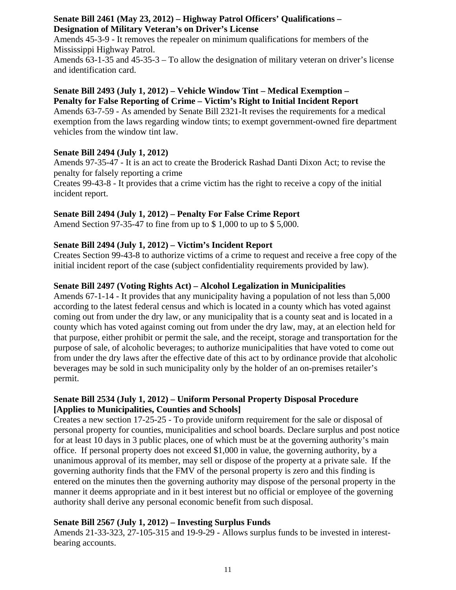#### **Senate Bill 2461 (May 23, 2012) – Highway Patrol Officers' Qualifications – Designation of Military Veteran's on Driver's License**

Amends 45-3-9 - It removes the repealer on minimum qualifications for members of the Mississippi Highway Patrol.

Amends 63-1-35 and 45-35-3 – To allow the designation of military veteran on driver's license and identification card.

#### **Senate Bill 2493 (July 1, 2012) – Vehicle Window Tint – Medical Exemption – Penalty for False Reporting of Crime – Victim's Right to Initial Incident Report**

Amends 63-7-59 - As amended by Senate Bill 2321-It revises the requirements for a medical exemption from the laws regarding window tints; to exempt government-owned fire department vehicles from the window tint law.

#### **Senate Bill 2494 (July 1, 2012)**

Amends 97-35-47 - It is an act to create the Broderick Rashad Danti Dixon Act; to revise the penalty for falsely reporting a crime

Creates 99-43-8 - It provides that a crime victim has the right to receive a copy of the initial incident report.

#### **Senate Bill 2494 (July 1, 2012) – Penalty For False Crime Report**

Amend Section 97-35-47 to fine from up to \$ 1,000 to up to \$ 5,000.

#### **Senate Bill 2494 (July 1, 2012) – Victim's Incident Report**

Creates Section 99-43-8 to authorize victims of a crime to request and receive a free copy of the initial incident report of the case (subject confidentiality requirements provided by law).

#### **Senate Bill 2497 (Voting Rights Act) – Alcohol Legalization in Municipalities**

Amends 67-1-14 - It provides that any municipality having a population of not less than 5,000 according to the latest federal census and which is located in a county which has voted against coming out from under the dry law, or any municipality that is a county seat and is located in a county which has voted against coming out from under the dry law, may, at an election held for that purpose, either prohibit or permit the sale, and the receipt, storage and transportation for the purpose of sale, of alcoholic beverages; to authorize municipalities that have voted to come out from under the dry laws after the effective date of this act to by ordinance provide that alcoholic beverages may be sold in such municipality only by the holder of an on-premises retailer's permit.

#### **Senate Bill 2534 (July 1, 2012) – Uniform Personal Property Disposal Procedure [Applies to Municipalities, Counties and Schools]**

Creates a new section 17-25-25 - To provide uniform requirement for the sale or disposal of personal property for counties, municipalities and school boards. Declare surplus and post notice for at least 10 days in 3 public places, one of which must be at the governing authority's main office. If personal property does not exceed \$1,000 in value, the governing authority, by a unanimous approval of its member, may sell or dispose of the property at a private sale. If the governing authority finds that the FMV of the personal property is zero and this finding is entered on the minutes then the governing authority may dispose of the personal property in the manner it deems appropriate and in it best interest but no official or employee of the governing authority shall derive any personal economic benefit from such disposal.

#### **Senate Bill 2567 (July 1, 2012) – Investing Surplus Funds**

Amends 21-33-323, 27-105-315 and 19-9-29 - Allows surplus funds to be invested in interestbearing accounts.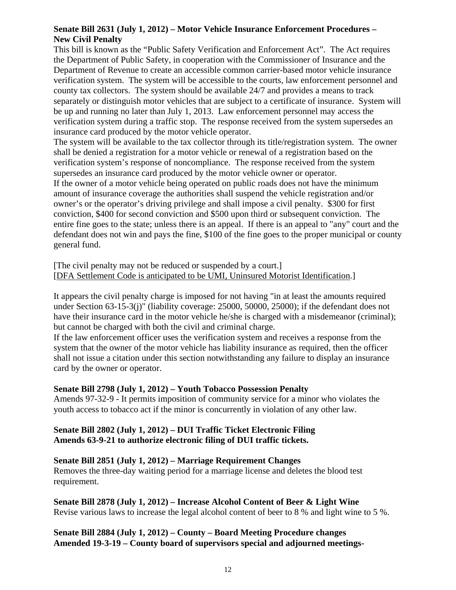#### **Senate Bill 2631 (July 1, 2012) – Motor Vehicle Insurance Enforcement Procedures – New Civil Penalty**

This bill is known as the "Public Safety Verification and Enforcement Act". The Act requires the Department of Public Safety, in cooperation with the Commissioner of Insurance and the Department of Revenue to create an accessible common carrier-based motor vehicle insurance verification system. The system will be accessible to the courts, law enforcement personnel and county tax collectors. The system should be available 24/7 and provides a means to track separately or distinguish motor vehicles that are subject to a certificate of insurance. System will be up and running no later than July 1, 2013. Law enforcement personnel may access the verification system during a traffic stop. The response received from the system supersedes an insurance card produced by the motor vehicle operator.

The system will be available to the tax collector through its title/registration system. The owner shall be denied a registration for a motor vehicle or renewal of a registration based on the verification system's response of noncompliance. The response received from the system supersedes an insurance card produced by the motor vehicle owner or operator.

If the owner of a motor vehicle being operated on public roads does not have the minimum amount of insurance coverage the authorities shall suspend the vehicle registration and/or owner's or the operator's driving privilege and shall impose a civil penalty. \$300 for first conviction, \$400 for second conviction and \$500 upon third or subsequent conviction. The entire fine goes to the state; unless there is an appeal. If there is an appeal to "any" court and the defendant does not win and pays the fine, \$100 of the fine goes to the proper municipal or county general fund.

[The civil penalty may not be reduced or suspended by a court.] [DFA Settlement Code is anticipated to be UMI, Uninsured Motorist Identification.]

It appears the civil penalty charge is imposed for not having "in at least the amounts required under Section 63-15-3(j)" (liability coverage: 25000, 50000, 25000); if the defendant does not have their insurance card in the motor vehicle he/she is charged with a misdemeanor (criminal); but cannot be charged with both the civil and criminal charge.

If the law enforcement officer uses the verification system and receives a response from the system that the owner of the motor vehicle has liability insurance as required, then the officer shall not issue a citation under this section notwithstanding any failure to display an insurance card by the owner or operator.

#### **Senate Bill 2798 (July 1, 2012) – Youth Tobacco Possession Penalty**

Amends 97-32-9 - It permits imposition of community service for a minor who violates the youth access to tobacco act if the minor is concurrently in violation of any other law.

#### **Senate Bill 2802 (July 1, 2012) – DUI Traffic Ticket Electronic Filing Amends 63-9-21 to authorize electronic filing of DUI traffic tickets.**

#### **Senate Bill 2851 (July 1, 2012) – Marriage Requirement Changes**

Removes the three-day waiting period for a marriage license and deletes the blood test requirement.

**Senate Bill 2878 (July 1, 2012) – Increase Alcohol Content of Beer & Light Wine**  Revise various laws to increase the legal alcohol content of beer to 8 % and light wine to 5 %.

**Senate Bill 2884 (July 1, 2012) – County – Board Meeting Procedure changes Amended 19-3-19 – County board of supervisors special and adjourned meetings-**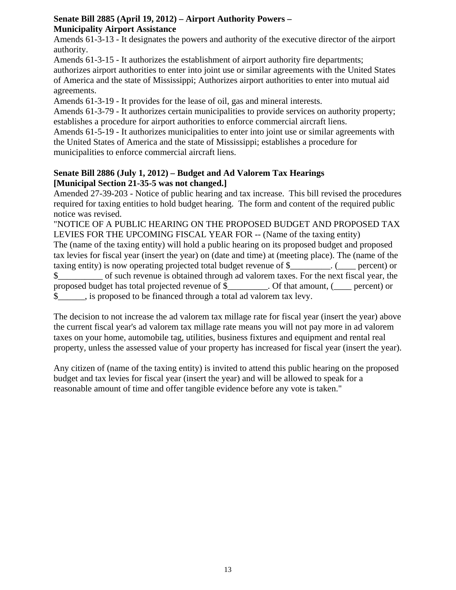#### **Senate Bill 2885 (April 19, 2012) – Airport Authority Powers – Municipality Airport Assistance**

Amends 61-3-13 - It designates the powers and authority of the executive director of the airport authority.

Amends 61-3-15 - It authorizes the establishment of airport authority fire departments; authorizes airport authorities to enter into joint use or similar agreements with the United States of America and the state of Mississippi; Authorizes airport authorities to enter into mutual aid agreements.

Amends 61-3-19 - It provides for the lease of oil, gas and mineral interests.

Amends 61-3-79 - It authorizes certain municipalities to provide services on authority property; establishes a procedure for airport authorities to enforce commercial aircraft liens.

Amends 61-5-19 - It authorizes municipalities to enter into joint use or similar agreements with the United States of America and the state of Mississippi; establishes a procedure for municipalities to enforce commercial aircraft liens.

#### **Senate Bill 2886 (July 1, 2012) – Budget and Ad Valorem Tax Hearings [Municipal Section 21-35-5 was not changed.]**

Amended 27-39-203 - Notice of public hearing and tax increase. This bill revised the procedures required for taxing entities to hold budget hearing. The form and content of the required public notice was revised.

"NOTICE OF A PUBLIC HEARING ON THE PROPOSED BUDGET AND PROPOSED TAX LEVIES FOR THE UPCOMING FISCAL YEAR FOR -- (Name of the taxing entity) The (name of the taxing entity) will hold a public hearing on its proposed budget and proposed tax levies for fiscal year (insert the year) on (date and time) at (meeting place). The (name of the taxing entity) is now operating projected total budget revenue of  $\$\,$  (percent) or \$\_\_\_\_\_\_\_\_\_\_ of such revenue is obtained through ad valorem taxes. For the next fiscal year, the proposed budget has total projected revenue of \$\_\_\_\_\_\_\_\_\_. Of that amount, (\_\_\_\_ percent) or \$\_\_\_\_\_\_, is proposed to be financed through a total ad valorem tax levy.

The decision to not increase the ad valorem tax millage rate for fiscal year (insert the year) above the current fiscal year's ad valorem tax millage rate means you will not pay more in ad valorem taxes on your home, automobile tag, utilities, business fixtures and equipment and rental real property, unless the assessed value of your property has increased for fiscal year (insert the year).

Any citizen of (name of the taxing entity) is invited to attend this public hearing on the proposed budget and tax levies for fiscal year (insert the year) and will be allowed to speak for a reasonable amount of time and offer tangible evidence before any vote is taken."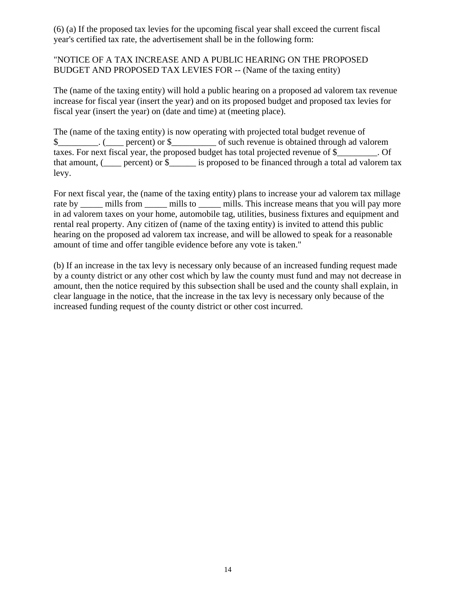(6) (a) If the proposed tax levies for the upcoming fiscal year shall exceed the current fiscal year's certified tax rate, the advertisement shall be in the following form:

#### "NOTICE OF A TAX INCREASE AND A PUBLIC HEARING ON THE PROPOSED BUDGET AND PROPOSED TAX LEVIES FOR -- (Name of the taxing entity)

The (name of the taxing entity) will hold a public hearing on a proposed ad valorem tax revenue increase for fiscal year (insert the year) and on its proposed budget and proposed tax levies for fiscal year (insert the year) on (date and time) at (meeting place).

The (name of the taxing entity) is now operating with projected total budget revenue of \$\_\_\_\_\_\_\_\_\_. ( \_\_\_\_ percent) or \$\_\_\_\_\_\_\_\_\_\_\_\_ of such revenue is obtained through ad valorem taxes. For next fiscal year, the proposed budget has total projected revenue of \$ . Of that amount, ( $\qquad$  percent) or  $\$\qquad$  is proposed to be financed through a total ad valorem tax levy.

For next fiscal year, the (name of the taxing entity) plans to increase your ad valorem tax millage rate by \_\_\_\_\_ mills from \_\_\_\_\_ mills to \_\_\_\_\_ mills. This increase means that you will pay more in ad valorem taxes on your home, automobile tag, utilities, business fixtures and equipment and rental real property. Any citizen of (name of the taxing entity) is invited to attend this public hearing on the proposed ad valorem tax increase, and will be allowed to speak for a reasonable amount of time and offer tangible evidence before any vote is taken."

(b) If an increase in the tax levy is necessary only because of an increased funding request made by a county district or any other cost which by law the county must fund and may not decrease in amount, then the notice required by this subsection shall be used and the county shall explain, in clear language in the notice, that the increase in the tax levy is necessary only because of the increased funding request of the county district or other cost incurred.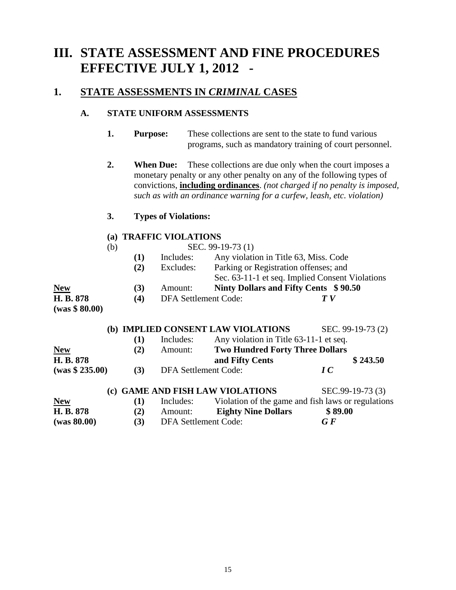# **III. STATE ASSESSMENT AND FINE PROCEDURES EFFECTIVE JULY 1, 2012 -**

#### 1. STATE ASSESSMENTS IN *CRIMINAL* CASES

#### **A. STATE UNIFORM ASSESSMENTS**

- **1. Purpose:** These collections are sent to the state to fund various programs, such as mandatory training of court personnel.
- **2.** When Due: These collections are due only when the court imposes a monetary penalty or any other penalty on any of the following types of convictions, **including ordinances**. *(not charged if no penalty is imposed, such as with an ordinance warning for a curfew, leash, etc. violation)*

#### **3. Types of Violations:**

#### **(a) TRAFFIC VIOLATIONS**

|                |     | $\mathbf{u}$ , initially resolutions |                             |                   |                                                 |  |
|----------------|-----|--------------------------------------|-----------------------------|-------------------|-------------------------------------------------|--|
|                | (b) |                                      |                             | SEC. 99-19-73 (1) |                                                 |  |
|                |     | (1)                                  | Includes:                   |                   | Any violation in Title 63, Miss. Code           |  |
|                |     | Excludes:<br>(2)                     |                             |                   | Parking or Registration offenses; and           |  |
|                |     |                                      |                             |                   | Sec. 63-11-1 et seq. Implied Consent Violations |  |
| <b>New</b>     |     | (3)                                  | Amount:                     |                   | Ninty Dollars and Fifty Cents \$90.50           |  |
| H. B. 878      |     | (4)                                  | <b>DFA Settlement Code:</b> |                   | T V                                             |  |
| (was \$ 80.00) |     |                                      |                             |                   |                                                 |  |

|                 |     |                             | (b) IMPLIED CONSENT LAW VIOLATIONS                 | SEC. 99-19-73 (2) |
|-----------------|-----|-----------------------------|----------------------------------------------------|-------------------|
|                 | (1) | Includes:                   | Any violation in Title 63-11-1 et seq.             |                   |
| <b>New</b>      | (2) | Amount:                     | <b>Two Hundred Forty Three Dollars</b>             |                   |
| H. B. 878       |     |                             | and Fifty Cents                                    | \$243.50          |
| (was \$ 235.00) | (3) | <b>DFA Settlement Code:</b> |                                                    | IC                |
|                 |     |                             | (c) GAME AND FISH LAW VIOLATIONS                   | SEC.99-19-73 (3)  |
| <b>New</b>      | (1) | Includes:                   | Violation of the game and fish laws or regulations |                   |
| H. B. 878       | (2) | Amount:                     | <b>Eighty Nine Dollars</b>                         | \$89.00           |
| (was 80.00)     | (3) | <b>DFA Settlement Code:</b> |                                                    | $\bm{G} \bm{F}$   |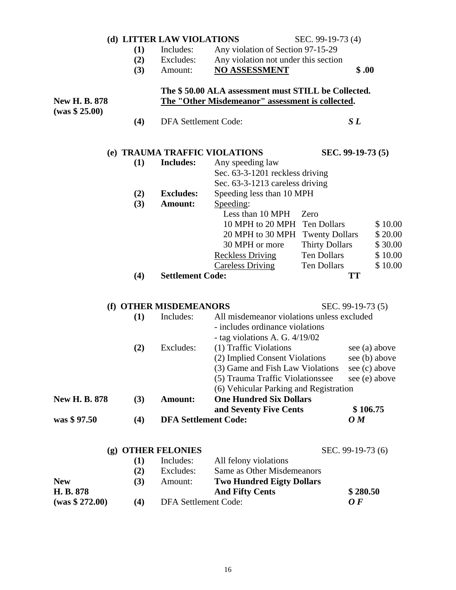|                      |     | (d) LITTER LAW VIOLATIONS   |                                                     | SEC. 99-19-73 (4)     |                                   |  |
|----------------------|-----|-----------------------------|-----------------------------------------------------|-----------------------|-----------------------------------|--|
|                      | (1) | Includes:                   | Any violation of Section 97-15-29                   |                       |                                   |  |
|                      | (2) | Excludes:                   | Any violation not under this section                |                       |                                   |  |
|                      | (3) | Amount:                     | <b>NO ASSESSMENT</b>                                |                       | \$.00                             |  |
|                      |     |                             | The \$50.00 ALA assessment must STILL be Collected. |                       |                                   |  |
| <b>New H. B. 878</b> |     |                             | The "Other Misdemeanor" assessment is collected.    |                       |                                   |  |
| (was \$25.00)        | (4) | DFA Settlement Code:        |                                                     |                       | SL                                |  |
|                      |     |                             | (e) TRAUMA TRAFFIC VIOLATIONS                       |                       | SEC. 99-19-73 (5)                 |  |
|                      | (1) | <b>Includes:</b>            | Any speeding law                                    |                       |                                   |  |
|                      |     |                             | Sec. 63-3-1201 reckless driving                     |                       |                                   |  |
|                      |     |                             | Sec. 63-3-1213 careless driving                     |                       |                                   |  |
|                      | (2) | <b>Excludes:</b>            | Speeding less than 10 MPH                           |                       |                                   |  |
|                      | (3) | Amount:                     | Speeding:                                           |                       |                                   |  |
|                      |     |                             | Less than 10 MPH                                    | Zero                  |                                   |  |
|                      |     |                             | 10 MPH to 20 MPH                                    | Ten Dollars           | \$10.00                           |  |
|                      |     |                             | 20 MPH to 30 MPH                                    | <b>Twenty Dollars</b> | \$20.00                           |  |
|                      |     |                             | 30 MPH or more                                      | <b>Thirty Dollars</b> | \$30.00                           |  |
|                      |     |                             | <b>Reckless Driving</b>                             | <b>Ten Dollars</b>    | \$10.00                           |  |
|                      |     |                             | <b>Careless Driving</b>                             | <b>Ten Dollars</b>    | \$10.00                           |  |
|                      | (4) | <b>Settlement Code:</b>     |                                                     |                       | <b>TT</b>                         |  |
|                      |     | (f) OTHER MISDEMEANORS      |                                                     |                       | SEC. 99-19-73 (5)                 |  |
|                      | (1) | Includes:                   | All misdemeanor violations unless excluded          |                       |                                   |  |
|                      |     |                             | - includes ordinance violations                     |                       |                                   |  |
|                      |     |                             | - tag violations A. G. 4/19/02                      |                       |                                   |  |
|                      | (2) | Excludes:                   | (1) Traffic Violations                              |                       | see (a) above                     |  |
|                      |     |                             | (2) Implied Consent Violations                      |                       | see (b) above                     |  |
|                      |     |                             | (3) Game and Fish Law Violations                    |                       | see (c) above                     |  |
|                      |     |                             | (5) Trauma Traffic Violationssee                    |                       | see (e) above                     |  |
|                      |     |                             | (6) Vehicular Parking and Registration              |                       |                                   |  |
| <b>New H. B. 878</b> | (3) | Amount:                     | <b>One Hundred Six Dollars</b>                      |                       |                                   |  |
|                      |     |                             | and Seventy Five Cents                              |                       | \$106.75                          |  |
| was \$97.50          | (4) | <b>DFA Settlement Code:</b> |                                                     |                       | $\boldsymbol{O}$ $\boldsymbol{M}$ |  |
|                      |     | (g) OTHER FELONIES          |                                                     |                       | SEC. 99-19-73 (6)                 |  |
|                      | (1) | Includes:                   | All felony violations                               |                       |                                   |  |
|                      | (2) | Excludes:                   | Same as Other Misdemeanors                          |                       |                                   |  |
| <b>New</b>           | (3) | Amount:                     | <b>Two Hundred Eigty Dollars</b>                    |                       |                                   |  |
| H. B. 878            |     |                             | <b>And Fifty Cents</b>                              |                       | \$280.50                          |  |
| (was \$272.00)       | (4) | <b>DFA Settlement Code:</b> |                                                     |                       | 0 F                               |  |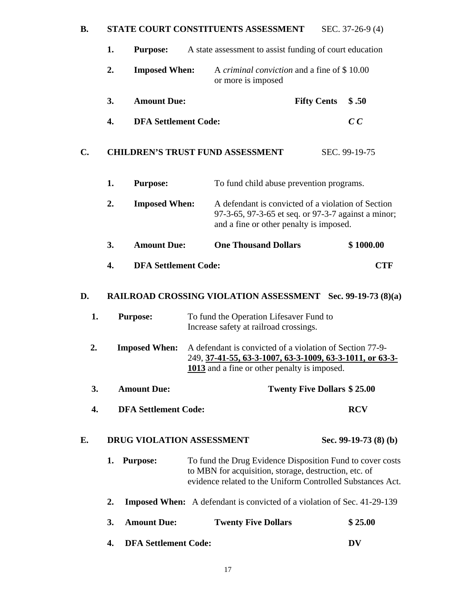#### **B.** STATE COURT CONSTITUENTS ASSESSMENT SEC. 37-26-9 (4)

|               | 1.<br>A state assessment to assist funding of court education<br><b>Purpose:</b> |                                                                                                                                                                                  |                                                                                                                                                      |  |  |
|---------------|----------------------------------------------------------------------------------|----------------------------------------------------------------------------------------------------------------------------------------------------------------------------------|------------------------------------------------------------------------------------------------------------------------------------------------------|--|--|
|               | 2.<br><b>Imposed When:</b>                                                       | A criminal conviction and a fine of \$10.00<br>or more is imposed                                                                                                                |                                                                                                                                                      |  |  |
|               | 3.<br><b>Amount Due:</b>                                                         |                                                                                                                                                                                  | <b>Fifty Cents</b><br>\$.50                                                                                                                          |  |  |
|               | <b>DFA Settlement Code:</b><br>4.                                                |                                                                                                                                                                                  | $C\,C$                                                                                                                                               |  |  |
| $C_{\bullet}$ |                                                                                  | <b>CHILDREN'S TRUST FUND ASSESSMENT</b>                                                                                                                                          | SEC. 99-19-75                                                                                                                                        |  |  |
|               | 1.<br><b>Purpose:</b>                                                            | To fund child abuse prevention programs.                                                                                                                                         |                                                                                                                                                      |  |  |
|               | 2.<br><b>Imposed When:</b>                                                       |                                                                                                                                                                                  | A defendant is convicted of a violation of Section<br>97-3-65, 97-3-65 et seq. or 97-3-7 against a minor;<br>and a fine or other penalty is imposed. |  |  |
|               | <b>Amount Due:</b><br>3.                                                         | <b>One Thousand Dollars</b>                                                                                                                                                      | \$1000.00                                                                                                                                            |  |  |
|               | <b>DFA Settlement Code:</b><br>4.                                                |                                                                                                                                                                                  | <b>CTF</b>                                                                                                                                           |  |  |
| D.            |                                                                                  | <b>RAILROAD CROSSING VIOLATION ASSESSMENT</b> Sec. 99-19-73 (8)(a)                                                                                                               |                                                                                                                                                      |  |  |
| 1.            | <b>Purpose:</b>                                                                  | To fund the Operation Lifesaver Fund to<br>Increase safety at railroad crossings.                                                                                                |                                                                                                                                                      |  |  |
| 2.            | <b>Imposed When:</b>                                                             | A defendant is convicted of a violation of Section 77-9-<br>249, 37-41-55, 63-3-1007, 63-3-1009, 63-3-1011, or 63-3-<br>1013 and a fine or other penalty is imposed.             |                                                                                                                                                      |  |  |
| 3.            | <b>Amount Due:</b>                                                               |                                                                                                                                                                                  | <b>Twenty Five Dollars \$25.00</b>                                                                                                                   |  |  |
| 4.            | <b>DFA Settlement Code:</b>                                                      |                                                                                                                                                                                  | <b>RCV</b>                                                                                                                                           |  |  |
| Е.            | <b>DRUG VIOLATION ASSESSMENT</b>                                                 |                                                                                                                                                                                  | Sec. 99-19-73 (8) (b)                                                                                                                                |  |  |
|               | <b>Purpose:</b><br>1.                                                            | To fund the Drug Evidence Disposition Fund to cover costs<br>to MBN for acquisition, storage, destruction, etc. of<br>evidence related to the Uniform Controlled Substances Act. |                                                                                                                                                      |  |  |
|               | 2.                                                                               | <b>Imposed When:</b> A defendant is convicted of a violation of Sec. 41-29-139                                                                                                   |                                                                                                                                                      |  |  |
|               | <b>Amount Due:</b><br>3.                                                         | <b>Twenty Five Dollars</b>                                                                                                                                                       | \$25.00                                                                                                                                              |  |  |
|               | <b>DFA Settlement Code:</b><br>4.                                                |                                                                                                                                                                                  | <b>DV</b>                                                                                                                                            |  |  |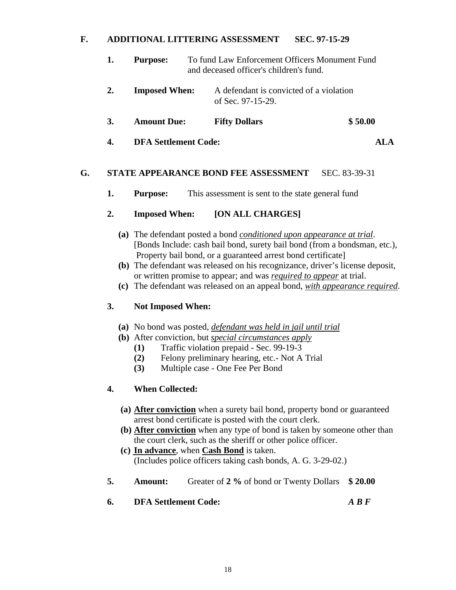#### **F. ADDITIONAL LITTERING ASSESSMENT SEC. 97-15-29**

| 1.        | <b>Purpose:</b>             | To fund Law Enforcement Officers Monument Fund<br>and deceased officer's children's fund. |                               |
|-----------|-----------------------------|-------------------------------------------------------------------------------------------|-------------------------------|
| 2.        | <b>Imposed When:</b>        | A defendant is convicted of a violation<br>of Sec. $97-15-29$ .                           |                               |
| <b>3.</b> | <b>Amount Due:</b>          | <b>Fifty Dollars</b>                                                                      | \$50.00                       |
| 4.        | <b>DFA Settlement Code:</b> |                                                                                           | $\mathbf{A}$ I . $\mathbf{A}$ |

#### **G. STATE APPEARANCE BOND FEE ASSESSMENT** SEC. 83-39-31

**1.** Purpose: This assessment is sent to the state general fund

#### **2. Imposed When: [ON ALL CHARGES]**

- **(a)** The defendant posted a bond *conditioned upon appearance at trial*. [Bonds Include: cash bail bond, surety bail bond (from a bondsman, etc.), Property bail bond, or a guaranteed arrest bond certificate]
- **(b)** The defendant was released on his recognizance, driver's license deposit, or written promise to appear; and was *required to appear* at trial.
- **(c)** The defendant was released on an appeal bond, *with appearance required*.

#### **3. Not Imposed When:**

- **(a)** No bond was posted, *defendant was held in jail until trial*
- **(b)** After conviction, but *special circumstances apply*
	- **(1)** Traffic violation prepaid Sec. 99-19-3
	- **(2)** Felony preliminary hearing, etc.- Not A Trial
	- **(3)** Multiple case One Fee Per Bond

#### **4. When Collected:**

- **(a) After conviction** when a surety bail bond, property bond or guaranteed arrest bond certificate is posted with the court clerk.
- **(b) After conviction** when any type of bond is taken by someone other than the court clerk, such as the sheriff or other police officer.
- **(c) In advance**, when **Cash Bond** is taken. (Includes police officers taking cash bonds, A. G. 3-29-02.)
- **5. Amount:** Greater of **2 %** of bond or Twenty Dollars **\$ 20.00**
- **6. DFA Settlement Code:** *A B F*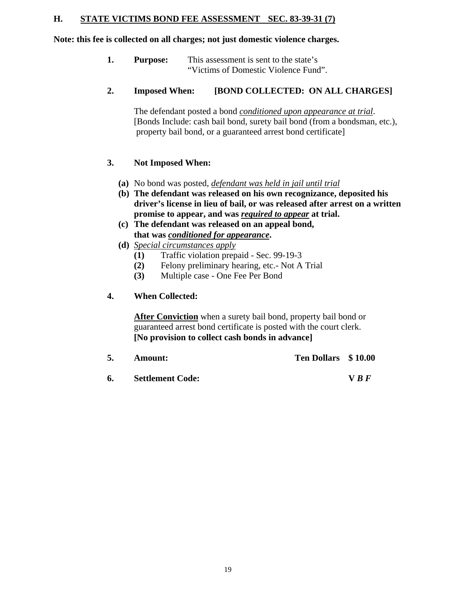#### **H. STATE VICTIMS BOND FEE ASSESSMENT SEC. 83-39-31 (7)**

#### **Note: this fee is collected on all charges; not just domestic violence charges.**

**1. Purpose:** This assessment is sent to the state's "Victims of Domestic Violence Fund".

#### **2. Imposed When: [BOND COLLECTED: ON ALL CHARGES]**

 The defendant posted a bond *conditioned upon appearance at trial*. [Bonds Include: cash bail bond, surety bail bond (from a bondsman, etc.), property bail bond, or a guaranteed arrest bond certificate]

#### **3. Not Imposed When:**

- **(a)** No bond was posted, *defendant was held in jail until trial*
- **(b) The defendant was released on his own recognizance, deposited his driver's license in lieu of bail, or was released after arrest on a written promise to appear, and was** *required to appear* **at trial.**
- **(c) The defendant was released on an appeal bond, that was** *conditioned for appearance***.**
- **(d)** *Special circumstances apply*
	- **(1)** Traffic violation prepaid Sec. 99-19-3
	- **(2)** Felony preliminary hearing, etc.- Not A Trial
	- **(3)** Multiple case One Fee Per Bond

#### **4. When Collected:**

**After Conviction** when a surety bail bond, property bail bond or guaranteed arrest bond certificate is posted with the court clerk. **[No provision to collect cash bonds in advance]** 

|  | <b>Amount:</b>             | Ten Dollars \$10.00 |            |
|--|----------------------------|---------------------|------------|
|  | <b>6.</b> Settlement Code: |                     | <b>VRF</b> |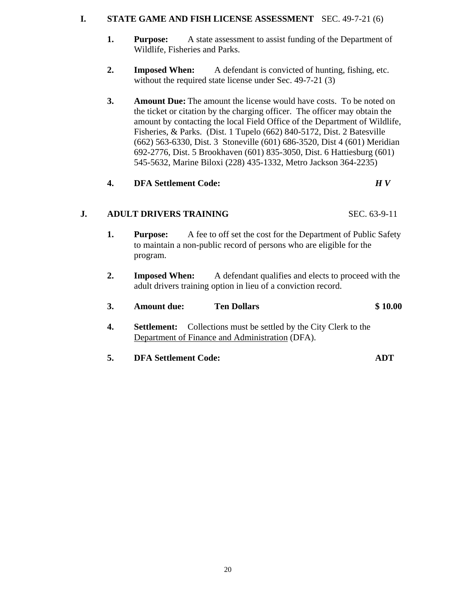#### **I. STATE GAME AND FISH LICENSE ASSESSMENT** SEC. 49-7-21 (6)

- **1.** Purpose: A state assessment to assist funding of the Department of Wildlife, Fisheries and Parks.
- **2. Imposed When:** A defendant is convicted of hunting, fishing, etc. without the required state license under Sec. 49-7-21 (3)
- **3. Amount Due:** The amount the license would have costs. To be noted on the ticket or citation by the charging officer. The officer may obtain the amount by contacting the local Field Office of the Department of Wildlife, Fisheries, & Parks. (Dist. 1 Tupelo (662) 840-5172, Dist. 2 Batesville (662) 563-6330, Dist. 3 Stoneville (601) 686-3520, Dist 4 (601) Meridian 692-2776, Dist. 5 Brookhaven (601) 835-3050, Dist. 6 Hattiesburg (601) 545-5632, Marine Biloxi (228) 435-1332, Metro Jackson 364-2235)

#### **4. DFA Settlement Code:** *H V*

#### **J. ADULT DRIVERS TRAINING** SEC. 63-9-11

- **1.** Purpose: A fee to off set the cost for the Department of Public Safety to maintain a non-public record of persons who are eligible for the program.
- **2. Imposed When:** A defendant qualifies and elects to proceed with the adult drivers training option in lieu of a conviction record.

| 3. | <b>Amount due:</b> | <b>Ten Dollars</b>                                                      | \$10.00 |
|----|--------------------|-------------------------------------------------------------------------|---------|
| 4. |                    | <b>Settlement:</b> Collections must be settled by the City Clerk to the |         |
|    |                    | Department of Finance and Administration (DFA).                         |         |
|    |                    |                                                                         |         |

**5. DFA Settlement Code: ADT**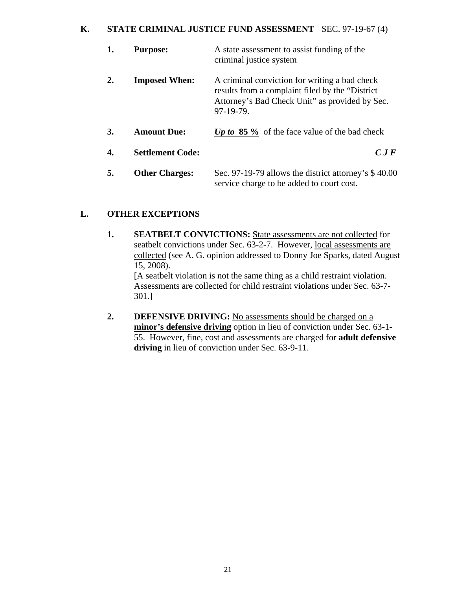#### **K. STATE CRIMINAL JUSTICE FUND ASSESSMENT** SEC. 97-19-67 (4)

| 1.             | <b>Purpose:</b>         | A state assessment to assist funding of the<br>criminal justice system                                                                                           |
|----------------|-------------------------|------------------------------------------------------------------------------------------------------------------------------------------------------------------|
| $\mathbf{2}$ . | <b>Imposed When:</b>    | A criminal conviction for writing a bad check<br>results from a complaint filed by the "District"<br>Attorney's Bad Check Unit" as provided by Sec.<br>97-19-79. |
| 3.             | <b>Amount Due:</b>      | Up to $85\%$ of the face value of the bad check                                                                                                                  |
| 4.             | <b>Settlement Code:</b> | $C$ J F                                                                                                                                                          |
| 5.             | <b>Other Charges:</b>   | Sec. 97-19-79 allows the district attorney's $$40.00$<br>service charge to be added to court cost.                                                               |

#### **L. OTHER EXCEPTIONS**

**1. SEATBELT CONVICTIONS:** State assessments are not collected for seatbelt convictions under Sec. 63-2-7. However, local assessments are collected (see A. G. opinion addressed to Donny Joe Sparks, dated August 15, 2008). [A seatbelt violation is not the same thing as a child restraint violation.

Assessments are collected for child restraint violations under Sec. 63-7- 301.]

**2. DEFENSIVE DRIVING:** No assessments should be charged on a **minor's defensive driving** option in lieu of conviction under Sec. 63-1- 55. However, fine, cost and assessments are charged for **adult defensive driving** in lieu of conviction under Sec. 63-9-11.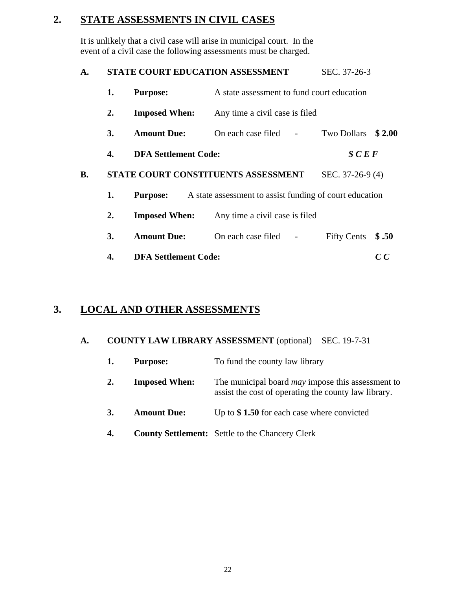# **2. STATE ASSESSMENTS IN CIVIL CASES**

It is unlikely that a civil case will arise in municipal court. In the event of a civil case the following assessments must be charged.

| <b>STATE COURT EDUCATION ASSESSMENT</b> | SEC. 37-26-3 |
|-----------------------------------------|--------------|
|                                         |              |

|                                                              | 1.                                                                                                                      | <b>Purpose:</b>    | A state assessment to fund court education |                |                    |        |  |
|--------------------------------------------------------------|-------------------------------------------------------------------------------------------------------------------------|--------------------|--------------------------------------------|----------------|--------------------|--------|--|
|                                                              | <b>Imposed When:</b><br>2.<br>Any time a civil case is filed                                                            |                    |                                            |                |                    |        |  |
|                                                              | 3.                                                                                                                      | <b>Amount Due:</b> | On each case filed                         |                | <b>Two Dollars</b> | \$2.00 |  |
|                                                              | <b>DFA Settlement Code:</b><br>4.                                                                                       |                    |                                            |                | SCEF               |        |  |
| В.                                                           | STATE COURT CONSTITUENTS ASSESSMENT<br>1.<br>A state assessment to assist funding of court education<br><b>Purpose:</b> |                    |                                            |                | SEC. 37-26-9 (4)   |        |  |
|                                                              |                                                                                                                         |                    |                                            |                |                    |        |  |
| 2.<br><b>Imposed When:</b><br>Any time a civil case is filed |                                                                                                                         |                    |                                            |                |                    |        |  |
|                                                              | 3.                                                                                                                      | <b>Amount Due:</b> | On each case filed                         | $\overline{a}$ | <b>Fifty Cents</b> | \$.50  |  |
| <b>DFA Settlement Code:</b><br>4.                            |                                                                                                                         |                    |                                            |                |                    | C C    |  |

# **3. LOCAL AND OTHER ASSESSMENTS**

#### **A. COUNTY LAW LIBRARY ASSESSMENT** (optional) SEC. 19-7-31

|    | <b>Purpose:</b>      | To fund the county law library                                                                                   |
|----|----------------------|------------------------------------------------------------------------------------------------------------------|
| 2. | <b>Imposed When:</b> | The municipal board <i>may</i> impose this assessment to<br>assist the cost of operating the county law library. |
| 3. | <b>Amount Due:</b>   | Up to $\$$ 1.50 for each case where convicted                                                                    |
| 4. |                      | <b>County Settlement:</b> Settle to the Chancery Clerk                                                           |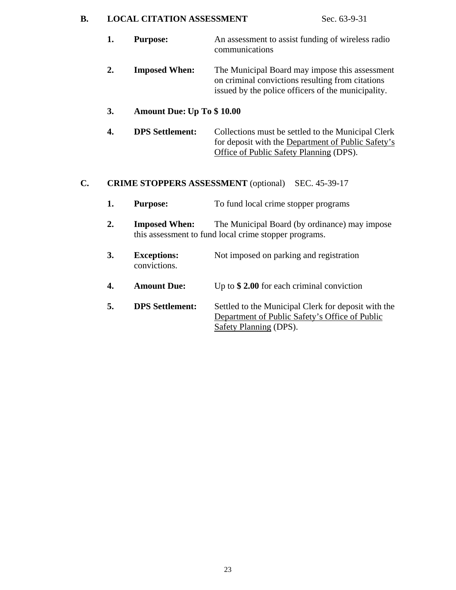#### **B.** LOCAL CITATION ASSESSMENT Sec. 63-9-31

- **1. Purpose:** An assessment to assist funding of wireless radio communications
- **2. Imposed When:** The Municipal Board may impose this assessment on criminal convictions resulting from citations issued by the police officers of the municipality.

#### **3. Amount Due: Up To \$ 10.00**

**4. DPS Settlement:** Collections must be settled to the Municipal Clerk for deposit with the Department of Public Safety's Office of Public Safety Planning (DPS).

#### **C. CRIME STOPPERS ASSESSMENT** (optional) SEC. 45-39-17

- **1.** Purpose: To fund local crime stopper programs
- **2. Imposed When:** The Municipal Board (by ordinance) may impose this assessment to fund local crime stopper programs.
- **3. Exceptions:** Not imposed on parking and registration convictions.
- **4. Amount Due:** Up to **\$ 2.00** for each criminal conviction
- **5. DPS Settlement:** Settled to the Municipal Clerk for deposit with the Department of Public Safety's Office of Public Safety Planning (DPS).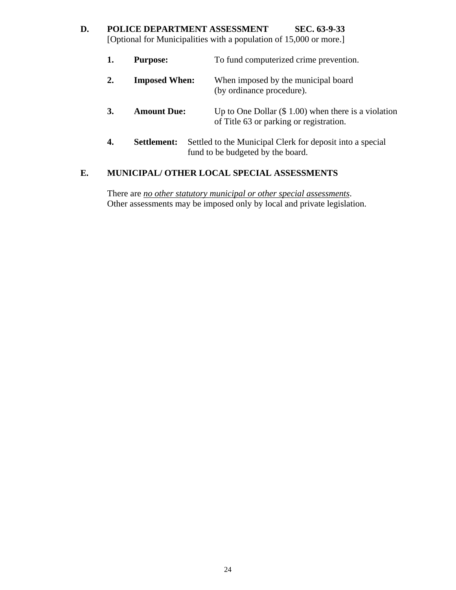## **D. POLICE DEPARTMENT ASSESSMENT SEC. 63-9-33**  [Optional for Municipalities with a population of 15,000 or more.]

- **1.** Purpose: To fund computerized crime prevention. **2. Imposed When:** When imposed by the municipal board (by ordinance procedure). **3.** Amount Due: Up to One Dollar (\$ 1.00) when there is a violation of Title 63 or parking or registration.
- **4.** Settlement: Settled to the Municipal Clerk for deposit into a special fund to be budgeted by the board.

#### **E. MUNICIPAL/ OTHER LOCAL SPECIAL ASSESSMENTS**

There are *no other statutory municipal or other special assessments*. Other assessments may be imposed only by local and private legislation.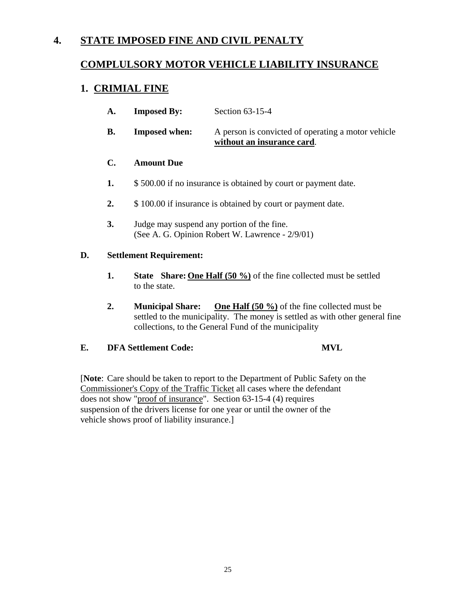# **4. STATE IMPOSED FINE AND CIVIL PENALTY**

### **COMPLULSORY MOTOR VEHICLE LIABILITY INSURANCE**

### **1. CRIMIAL FINE**

| A. | <b>Imposed By:</b>   | Section $63-15-4$                                                                |
|----|----------------------|----------------------------------------------------------------------------------|
| В. | <b>Imposed when:</b> | A person is convicted of operating a motor vehicle<br>without an insurance card. |

#### **C. Amount Due**

- **1.** \$ 500.00 if no insurance is obtained by court or payment date.
- **2.** \$ 100.00 if insurance is obtained by court or payment date.
- **3.** Judge may suspend any portion of the fine. (See A. G. Opinion Robert W. Lawrence - 2/9/01)

#### **D. Settlement Requirement:**

- **1.** State Share: <u>One Half (50 %)</u> of the fine collected must be settled to the state.
- **2. Municipal Share: One Half (50 %)** of the fine collected must be settled to the municipality. The money is settled as with other general fine collections, to the General Fund of the municipality

#### **E. DFA Settlement Code: MVL**

 [**Note**: Care should be taken to report to the Department of Public Safety on the Commissioner's Copy of the Traffic Ticket all cases where the defendant does not show "proof of insurance". Section 63-15-4 (4) requires suspension of the drivers license for one year or until the owner of the vehicle shows proof of liability insurance.]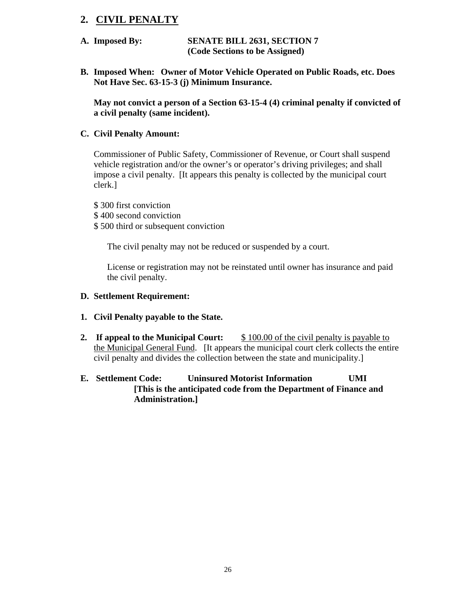### **2. CIVIL PENALTY**

- **A. Imposed By: SENATE BILL 2631, SECTION 7 (Code Sections to be Assigned)**
- **B. Imposed When: Owner of Motor Vehicle Operated on Public Roads, etc. Does Not Have Sec. 63-15-3 (j) Minimum Insurance.**

**May not convict a person of a Section 63-15-4 (4) criminal penalty if convicted of a civil penalty (same incident).** 

#### **C. Civil Penalty Amount:**

Commissioner of Public Safety, Commissioner of Revenue, or Court shall suspend vehicle registration and/or the owner's or operator's driving privileges; and shall impose a civil penalty. [It appears this penalty is collected by the municipal court clerk.]

\$ 300 first conviction

- \$ 400 second conviction
- \$ 500 third or subsequent conviction

The civil penalty may not be reduced or suspended by a court.

License or registration may not be reinstated until owner has insurance and paid the civil penalty.

- **D. Settlement Requirement:**
- **1. Civil Penalty payable to the State.**
- **2.** If appeal to the Municipal Court:  $$ 100.00$  of the civil penalty is payable to the Municipal General Fund. [It appears the municipal court clerk collects the entire civil penalty and divides the collection between the state and municipality.]
- **E. Settlement Code: Uninsured Motorist Information UMI [This is the anticipated code from the Department of Finance and Administration.]**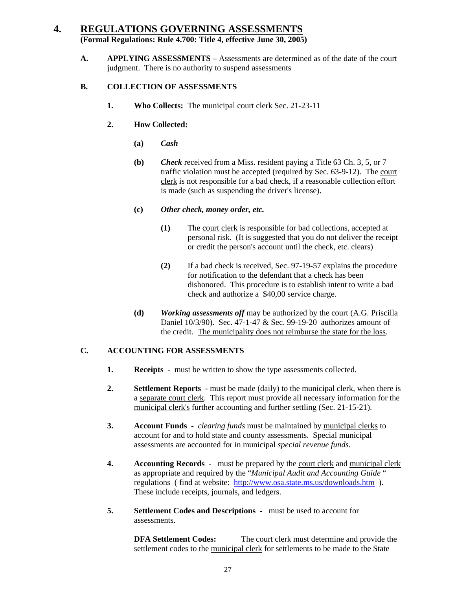### **4. REGULATIONS GOVERNING ASSESSMENTS (Formal Regulations: Rule 4.700: Title 4, effective June 30, 2005)**

A. **APPLYING ASSESSMENTS** – Assessments are determined as of the date of the court judgment. There is no authority to suspend assessments

#### **B. COLLECTION OF ASSESSMENTS**

- **1. Who Collects:** The municipal court clerk Sec. 21-23-11
- **2. How Collected:** 
	- **(a)** *Cash*
	- **(b)** *Check* received from a Miss. resident paying a Title 63 Ch. 3, 5, or 7 traffic violation must be accepted (required by Sec. 63-9-12). The court clerk is not responsible for a bad check, if a reasonable collection effort is made (such as suspending the driver's license).
	- **(c)** *Other check, money order, etc.* 
		- **(1)** The court clerk is responsible for bad collections, accepted at personal risk. (It is suggested that you do not deliver the receipt or credit the person's account until the check, etc. clears)
		- **(2)** If a bad check is received, Sec. 97-19-57 explains the procedure for notification to the defendant that a check has been dishonored. This procedure is to establish intent to write a bad check and authorize a \$40,00 service charge.
	- **(d)** *Working assessments off* may be authorized by the court (A.G. Priscilla Daniel 10/3/90). Sec. 47-1-47 & Sec. 99-19-20 authorizes amount of the credit. The municipality does not reimburse the state for the loss.

#### **C. ACCOUNTING FOR ASSESSMENTS**

- **1. Receipts** must be written to show the type assessments collected.
- **2. Settlement Reports** must be made (daily) to the municipal clerk, when there is a separate court clerk. This report must provide all necessary information for the municipal clerk's further accounting and further settling (Sec. 21-15-21).
- **3. Account Funds** *clearing funds* must be maintained by municipal clerks to account for and to hold state and county assessments. Special municipal assessments are accounted for in municipal *special revenue funds.*
- **4. Accounting Records** must be prepared by the court clerk and municipal clerk as appropriate and required by the "*Municipal Audit and Accounting Guide* " regulations ( find at website: http://www.osa.state.ms.us/downloads.htm ). These include receipts, journals, and ledgers.
- **5. Settlement Codes and Descriptions** must be used to account for assessments.

**DFA Settlement Codes:** The court clerk must determine and provide the settlement codes to the municipal clerk for settlements to be made to the State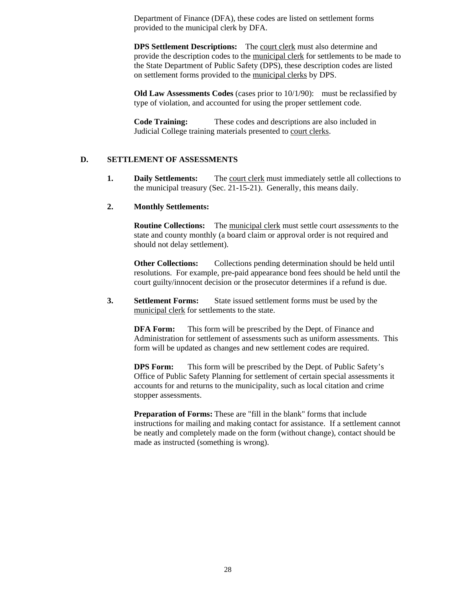Department of Finance (DFA), these codes are listed on settlement forms provided to the municipal clerk by DFA.

**DPS Settlement Descriptions:** The court clerk must also determine and provide the description codes to the municipal clerk for settlements to be made to the State Department of Public Safety (DPS), these description codes are listed on settlement forms provided to the municipal clerks by DPS.

**Old Law Assessments Codes** (cases prior to 10/1/90): must be reclassified by type of violation, and accounted for using the proper settlement code.

**Code Training:** These codes and descriptions are also included in Judicial College training materials presented to court clerks.

#### **D. SETTLEMENT OF ASSESSMENTS**

**1. Daily Settlements:** The court clerk must immediately settle all collections to the municipal treasury (Sec. 21-15-21). Generally, this means daily.

#### **2. Monthly Settlements:**

 **Routine Collections:** The municipal clerk must settle court *assessments* to the state and county monthly (a board claim or approval order is not required and should not delay settlement).

**Other Collections:** Collections pending determination should be held until resolutions. For example, pre-paid appearance bond fees should be held until the court guilty/innocent decision or the prosecutor determines if a refund is due.

**3. Settlement Forms:** State issued settlement forms must be used by the municipal clerk for settlements to the state.

**DFA Form:** This form will be prescribed by the Dept. of Finance and Administration for settlement of assessments such as uniform assessments. This form will be updated as changes and new settlement codes are required.

**DPS Form:** This form will be prescribed by the Dept. of Public Safety's Office of Public Safety Planning for settlement of certain special assessments it accounts for and returns to the municipality, such as local citation and crime stopper assessments.

**Preparation of Forms:** These are "fill in the blank" forms that include instructions for mailing and making contact for assistance. If a settlement cannot be neatly and completely made on the form (without change), contact should be made as instructed (something is wrong).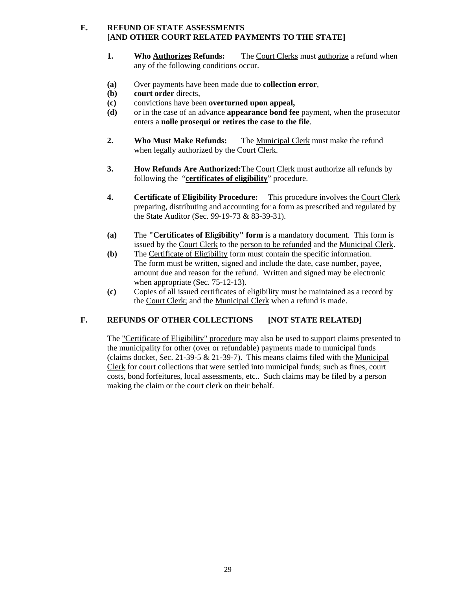#### **E. REFUND OF STATE ASSESSMENTS [AND OTHER COURT RELATED PAYMENTS TO THE STATE]**

- **1. Who Authorizes Refunds:** The Court Clerks must authorize a refund when any of the following conditions occur.
- **(a)** Over payments have been made due to **collection error***,*
- **(b) court order** directs,
- **(c)** convictions have been **overturned upon appeal,**
- **(d)** or in the case of an advance **appearance bond fee** payment, when the prosecutor enters a **nolle prosequi or retires the case to the file**.
- **2. Who Must Make Refunds:** The Municipal Clerk must make the refund when legally authorized by the Court Clerk.
- **3. How Refunds Are Authorized:** The Court Clerk must authorize all refunds by following the "**certificates of eligibility**" procedure.
- **4. Certificate of Eligibility Procedure:** This procedure involves the Court Clerk preparing, distributing and accounting for a form as prescribed and regulated by the State Auditor (Sec. 99-19-73 & 83-39-31).
- **(a)** The **"Certificates of Eligibility" form** is a mandatory document. This form is issued by the Court Clerk to the person to be refunded and the Municipal Clerk.
- **(b)** The Certificate of Eligibility form must contain the specific information. The form must be written, signed and include the date, case number, payee, amount due and reason for the refund. Written and signed may be electronic when appropriate (Sec. 75-12-13).
- **(c)** Copies of all issued certificates of eligibility must be maintained as a record by the Court Clerk; and the Municipal Clerk when a refund is made.

#### **F. REFUNDS OF OTHER COLLECTIONS [NOT STATE RELATED]**

The "Certificate of Eligibility" procedure may also be used to support claims presented to the municipality for other (over or refundable) payments made to municipal funds (claims docket, Sec. 21-39-5 & 21-39-7). This means claims filed with the Municipal Clerk for court collections that were settled into municipal funds; such as fines, court costs, bond forfeitures, local assessments, etc.. Such claims may be filed by a person making the claim or the court clerk on their behalf.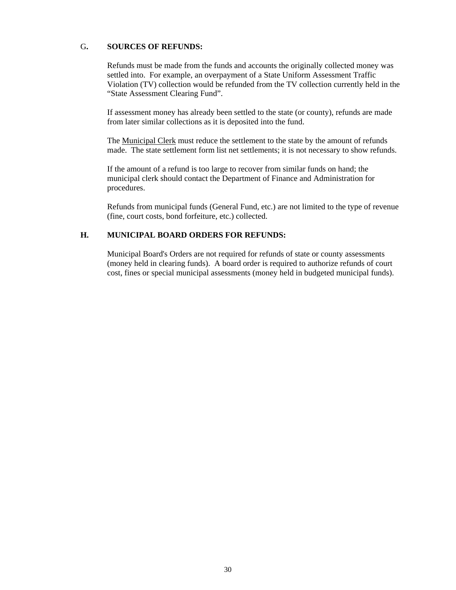#### G**. SOURCES OF REFUNDS:**

Refunds must be made from the funds and accounts the originally collected money was settled into. For example, an overpayment of a State Uniform Assessment Traffic Violation (TV) collection would be refunded from the TV collection currently held in the "State Assessment Clearing Fund".

If assessment money has already been settled to the state (or county), refunds are made from later similar collections as it is deposited into the fund.

 The Municipal Clerk must reduce the settlement to the state by the amount of refunds made. The state settlement form list net settlements; it is not necessary to show refunds.

If the amount of a refund is too large to recover from similar funds on hand; the municipal clerk should contact the Department of Finance and Administration for procedures.

Refunds from municipal funds (General Fund, etc.) are not limited to the type of revenue (fine, court costs, bond forfeiture, etc.) collected.

#### **H. MUNICIPAL BOARD ORDERS FOR REFUNDS:**

Municipal Board's Orders are not required for refunds of state or county assessments (money held in clearing funds). A board order is required to authorize refunds of court cost, fines or special municipal assessments (money held in budgeted municipal funds).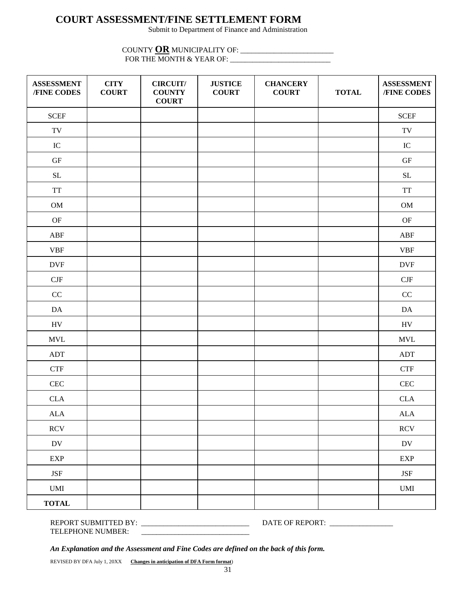# **COURT ASSESSMENT/FINE SETTLEMENT FORM**

Submit to Department of Finance and Administration

#### COUNTY **OR** MUNICIPALITY OF: \_\_\_\_\_\_\_\_\_\_\_\_\_\_\_\_\_\_\_\_\_\_\_\_\_ FOR THE MONTH & YEAR OF: \_\_\_\_\_\_\_\_\_\_\_\_\_\_\_\_\_\_\_\_\_\_\_\_\_\_\_

| <b>ASSESSMENT</b><br>/FINE CODES                                 | <b>CITY</b><br><b>COURT</b> | <b>CIRCUIT/</b><br><b>COUNTY</b><br><b>COURT</b> | <b>JUSTICE</b><br><b>COURT</b> | <b>CHANCERY</b><br><b>COURT</b> | <b>TOTAL</b> | <b>ASSESSMENT</b><br>/FINE CODES |
|------------------------------------------------------------------|-----------------------------|--------------------------------------------------|--------------------------------|---------------------------------|--------------|----------------------------------|
| $\ensuremath{\text{SCEF}}$                                       |                             |                                                  |                                |                                 |              | $\ensuremath{\text{SCEF}}$       |
| $\operatorname{TV}$                                              |                             |                                                  |                                |                                 |              | $\operatorname{TV}$              |
| ${\rm IC}$                                                       |                             |                                                  |                                |                                 |              | ${\rm IC}$                       |
| $\operatorname{GF}$                                              |                             |                                                  |                                |                                 |              | $\operatorname{GF}$              |
| $\operatorname{SL}$                                              |                             |                                                  |                                |                                 |              | $\operatorname{SL}$              |
| $\ensuremath{\mathcal{T}}\ensuremath{\mathcal{T}}$               |                             |                                                  |                                |                                 |              | $\operatorname{TT}$              |
| $_{\rm OM}$                                                      |                             |                                                  |                                |                                 |              | $OM$                             |
| $\mathrm{OF}% _{T}=\mathrm{Tr}_{T}\left( \mathcal{N}_{T}\right)$ |                             |                                                  |                                |                                 |              | $\mathbf{OF}% _{T}$              |
| ${\bf A} {\bf B} {\bf F}$                                        |                             |                                                  |                                |                                 |              | ABF                              |
| <b>VBF</b>                                                       |                             |                                                  |                                |                                 |              | <b>VBF</b>                       |
| <b>DVF</b>                                                       |                             |                                                  |                                |                                 |              | <b>DVF</b>                       |
| $\ensuremath{\mathrm{CJF}}$                                      |                             |                                                  |                                |                                 |              | CJF                              |
| $\rm CC$                                                         |                             |                                                  |                                |                                 |              | CC                               |
| $\mathbf{DA}$                                                    |                             |                                                  |                                |                                 |              | $\mathbf{DA}$                    |
| ${\rm HV}$                                                       |                             |                                                  |                                |                                 |              | ${\rm HV}$                       |
| $\ensuremath{\text{MVL}}$                                        |                             |                                                  |                                |                                 |              | $\ensuremath{\text{MVL}}$        |
| $\mathbf{A}\mathbf{D}\mathbf{T}$                                 |                             |                                                  |                                |                                 |              | $\mathbf{A}\mathbf{D}\mathbf{T}$ |
| <b>CTF</b>                                                       |                             |                                                  |                                |                                 |              | ${\rm CTF}$                      |
| $\mbox{CEC}$                                                     |                             |                                                  |                                |                                 |              | CEC                              |
| $\rm CLA$                                                        |                             |                                                  |                                |                                 |              | <b>CLA</b>                       |
| ${\rm ALA}$                                                      |                             |                                                  |                                |                                 |              | ${\rm ALA}$                      |
| RCV                                                              |                             |                                                  |                                |                                 |              | RCV                              |
| $\operatorname{DV}$                                              |                             |                                                  |                                |                                 |              | DV                               |
| <b>EXP</b>                                                       |                             |                                                  |                                |                                 |              | <b>EXP</b>                       |
| <b>JSF</b>                                                       |                             |                                                  |                                |                                 |              | $\operatorname{JSF}$             |
| $\ensuremath{\mathrm{UMI}}$                                      |                             |                                                  |                                |                                 |              | <b>UMI</b>                       |
| <b>TOTAL</b>                                                     |                             |                                                  |                                |                                 |              |                                  |

#### REPORT SUBMITTED BY: \_\_\_\_\_\_\_\_\_\_\_\_\_\_\_\_\_\_\_\_\_\_\_\_\_\_\_\_\_ DATE OF REPORT: \_\_\_\_\_\_\_\_\_\_\_\_\_\_\_\_\_ TELEPHONE NUMBER: \_\_\_\_\_\_\_\_\_\_\_\_\_\_\_\_\_\_\_\_\_\_\_\_\_\_\_\_\_

*An Explanation and the Assessment and Fine Codes are defined on the back of this form.*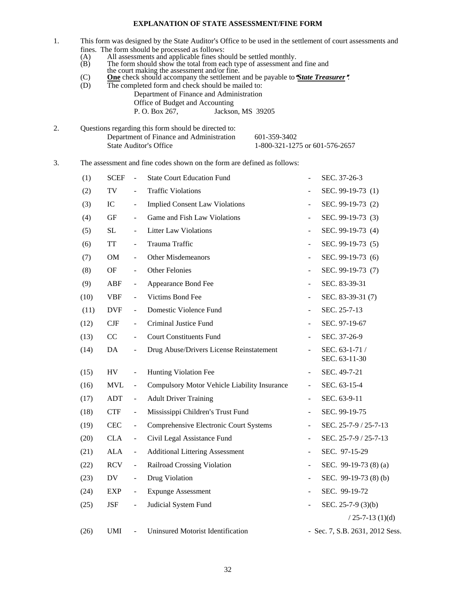#### **EXPLANATION OF STATE ASSESSMENT/FINE FORM**

- 1. This form was designed by the State Auditor's Office to be used in the settlement of court assessments and fines. The form should be processed as follows:
	- (A) All assessments and applicable fines should be settled monthly.
	- (B) The form should show the total from each type of assessment and fine and
	- the court making the assessment and/or fine.
	- (C) **One** check should accompany the settlement and be payable to *State Treasurer*.
	- (D) The completed form and check should be mailed to: Department of Finance and Administration Office of Budget and Accounting P. O. Box 267, Jackson, MS 39205
- 2. Questions regarding this form should be directed to: Department of Finance and Administration 601-359-3402 State Auditor's Office 1-800-321-1275 or 601-576-2657
- 3. The assessment and fine codes shown on the form are defined as follows:

| (1)  | <b>SCEF</b> | $\frac{1}{2}$            | <b>State Court Education Fund</b>            |                              | SEC. 37-26-3                    |
|------|-------------|--------------------------|----------------------------------------------|------------------------------|---------------------------------|
| (2)  | TV          | $\overline{\phantom{a}}$ | <b>Traffic Violations</b>                    | $\qquad \qquad \blacksquare$ | SEC. 99-19-73 (1)               |
| (3)  | IC          | $\blacksquare$           | <b>Implied Consent Law Violations</b>        | $\overline{\phantom{a}}$     | SEC. 99-19-73 (2)               |
| (4)  | GF          | $\overline{\phantom{a}}$ | Game and Fish Law Violations                 |                              | SEC. 99-19-73 (3)               |
| (5)  | SL          | $\blacksquare$           | <b>Litter Law Violations</b>                 | $\overline{\phantom{a}}$     | SEC. 99-19-73 (4)               |
| (6)  | TT          | ÷,                       | Trauma Traffic                               | $\overline{\phantom{a}}$     | SEC. 99-19-73 (5)               |
| (7)  | <b>OM</b>   | $\overline{\phantom{a}}$ | <b>Other Misdemeanors</b>                    | $\overline{\phantom{a}}$     | SEC. 99-19-73 (6)               |
| (8)  | <b>OF</b>   | $\blacksquare$           | <b>Other Felonies</b>                        | $\overline{\phantom{a}}$     | SEC. 99-19-73 (7)               |
| (9)  | ABF         | $\blacksquare$           | Appearance Bond Fee                          | $\overline{\phantom{a}}$     | SEC. 83-39-31                   |
| (10) | <b>VBF</b>  | $\blacksquare$           | Victims Bond Fee                             | $\overline{\phantom{a}}$     | SEC. 83-39-31 (7)               |
| (11) | <b>DVF</b>  | $\blacksquare$           | Domestic Violence Fund                       | $\blacksquare$               | SEC. 25-7-13                    |
| (12) | CJF         | $\overline{\phantom{a}}$ | Criminal Justice Fund                        | $\blacksquare$               | SEC. 97-19-67                   |
| (13) | CC          | $\frac{1}{2}$            | <b>Court Constituents Fund</b>               | $\overline{\phantom{a}}$     | SEC. 37-26-9                    |
| (14) | DA          | $\blacksquare$           | Drug Abuse/Drivers License Reinstatement     | $\overline{\phantom{a}}$     | SEC. 63-1-71 /<br>SEC. 63-11-30 |
| (15) | HV          | ÷,                       | Hunting Violation Fee                        | $\overline{\phantom{a}}$     | SEC. 49-7-21                    |
| (16) | <b>MVL</b>  | ÷                        | Compulsory Motor Vehicle Liability Insurance | $\blacksquare$               | SEC. 63-15-4                    |
| (17) | <b>ADT</b>  | $\blacksquare$           | <b>Adult Driver Training</b>                 | $\overline{a}$               | SEC. 63-9-11                    |
| (18) | <b>CTF</b>  | $\blacksquare$           | Mississippi Children's Trust Fund            | $\overline{\phantom{a}}$     | SEC. 99-19-75                   |
| (19) | <b>CEC</b>  | ÷,                       | Comprehensive Electronic Court Systems       | $\overline{\phantom{a}}$     | SEC. 25-7-9 / 25-7-13           |
| (20) | <b>CLA</b>  | $\blacksquare$           | Civil Legal Assistance Fund                  | $\blacksquare$               | SEC. 25-7-9 / 25-7-13           |
| (21) | <b>ALA</b>  | $\overline{\phantom{a}}$ | <b>Additional Littering Assessment</b>       | $\blacksquare$               | SEC. 97-15-29                   |
| (22) | <b>RCV</b>  | $\overline{\phantom{a}}$ | Railroad Crossing Violation                  | $\blacksquare$               | SEC. 99-19-73 (8) (a)           |
| (23) | DV          | $\overline{\phantom{0}}$ | Drug Violation                               | $\overline{\phantom{a}}$     | SEC. 99-19-73 (8) (b)           |
| (24) | EXP         | $\blacksquare$           | <b>Expunge Assessment</b>                    | $\overline{\phantom{a}}$     | SEC. 99-19-72                   |
| (25) | <b>JSF</b>  | $\frac{1}{2}$            | Judicial System Fund                         |                              | SEC. $25-7-9$ (3)(b)            |
|      |             |                          |                                              |                              | $/ 25 - 7 - 13 (1)(d)$          |
| (26) | UMI         | $\overline{\phantom{a}}$ | Uninsured Motorist Identification            |                              | - Sec. 7, S.B. 2631, 2012 Sess. |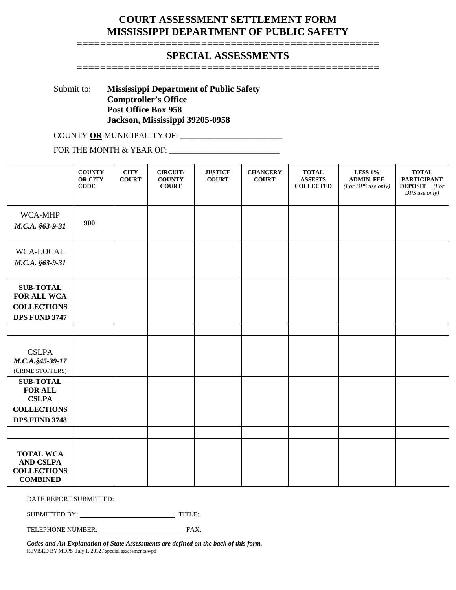### **COURT ASSESSMENT SETTLEMENT FORM MISSISSIPPI DEPARTMENT OF PUBLIC SAFETY**

#### **=================================================== SPECIAL ASSESSMENTS**

**===================================================** 

Submit to: **Mississippi Department of Public Safety** 

 **Comptroller's Office Post Office Box 958 Jackson, Mississippi 39205-0958** 

COUNTY **OR** MUNICIPALITY OF: \_\_\_\_\_\_\_\_\_\_\_\_\_\_\_\_\_\_\_\_\_\_\_\_\_

FOR THE MONTH & YEAR OF: \_\_\_\_\_\_\_\_\_\_\_\_\_\_\_\_\_\_\_\_\_\_\_\_\_\_\_

|                                                                                                  | <b>COUNTY</b><br><b>OR CITY</b><br>$CODE$ | <b>CITY</b><br><b>COURT</b> | <b>CIRCUIT/</b><br><b>COUNTY</b><br><b>COURT</b> | <b>JUSTICE</b><br><b>COURT</b> | <b>CHANCERY</b><br><b>COURT</b> | <b>TOTAL</b><br><b>ASSESTS</b><br><b>COLLECTED</b> | <b>LESS 1%</b><br><b>ADMIN. FEE</b><br>(For DPS use only) | <b>TOTAL</b><br><b>PARTICIPANT</b><br><b>DEPOSIT</b> (For<br>DPS use only) |
|--------------------------------------------------------------------------------------------------|-------------------------------------------|-----------------------------|--------------------------------------------------|--------------------------------|---------------------------------|----------------------------------------------------|-----------------------------------------------------------|----------------------------------------------------------------------------|
| WCA-MHP<br>M.C.A. §63-9-31                                                                       | 900                                       |                             |                                                  |                                |                                 |                                                    |                                                           |                                                                            |
| WCA-LOCAL<br>M.C.A. §63-9-31                                                                     |                                           |                             |                                                  |                                |                                 |                                                    |                                                           |                                                                            |
| <b>SUB-TOTAL</b><br>FOR ALL WCA<br><b>COLLECTIONS</b><br><b>DPS FUND 3747</b>                    |                                           |                             |                                                  |                                |                                 |                                                    |                                                           |                                                                            |
|                                                                                                  |                                           |                             |                                                  |                                |                                 |                                                    |                                                           |                                                                            |
| <b>CSLPA</b><br>M.C.A. §45-39-17<br>(CRIME STOPPERS)                                             |                                           |                             |                                                  |                                |                                 |                                                    |                                                           |                                                                            |
| <b>SUB-TOTAL</b><br><b>FOR ALL</b><br><b>CSLPA</b><br><b>COLLECTIONS</b><br><b>DPS FUND 3748</b> |                                           |                             |                                                  |                                |                                 |                                                    |                                                           |                                                                            |
|                                                                                                  |                                           |                             |                                                  |                                |                                 |                                                    |                                                           |                                                                            |
| <b>TOTAL WCA</b><br><b>AND CSLPA</b><br><b>COLLECTIONS</b><br><b>COMBINED</b>                    |                                           |                             |                                                  |                                |                                 |                                                    |                                                           |                                                                            |

DATE REPORT SUBMITTED:

SUBMITTED BY: TITLE:

TELEPHONE NUMBER: FAX:

*Codes and An Explanation of State Assessments are defined on the back of this form.* REVISED BY MDPS July 1, 2012 / special assessments.wpd